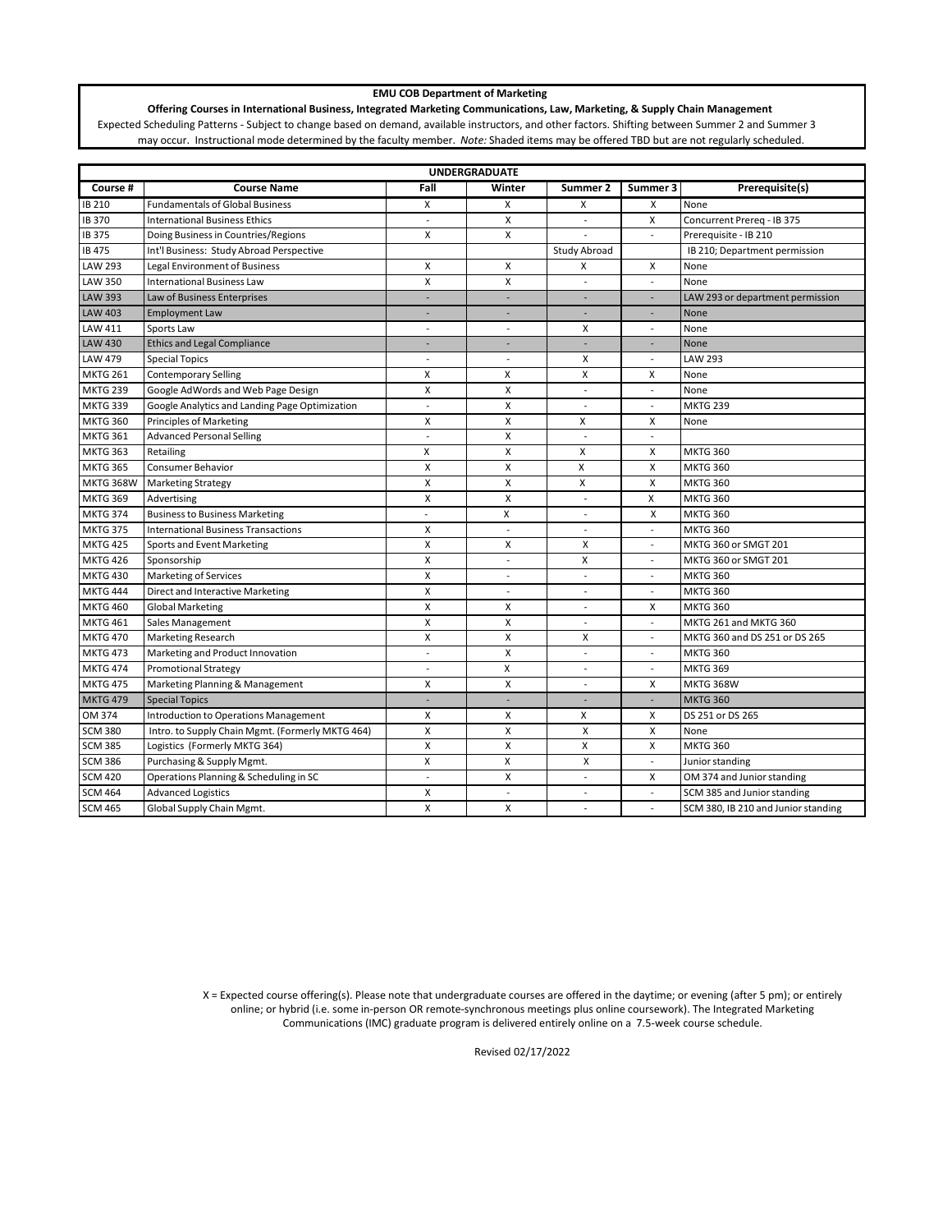## **EMU COB Department of Marketing**

**Offering Courses in International Business, Integrated Marketing Communications, Law, Marketing, & Supply Chain Management** Expected Scheduling Patterns - Subject to change based on demand, available instructors, and other factors. Shifting between Summer 2 and Summer 3 may occur. Instructional mode determined by the faculty member. *Note:* Shaded items may be offered TBD but are not regularly scheduled.

| <b>UNDERGRADUATE</b> |                                                  |                           |                          |                          |                          |                                     |  |
|----------------------|--------------------------------------------------|---------------------------|--------------------------|--------------------------|--------------------------|-------------------------------------|--|
| Course #             | <b>Course Name</b>                               | Fall                      | Winter                   | Summer 2                 | Summer 3                 | Prerequisite(s)                     |  |
| <b>IB 210</b>        | <b>Fundamentals of Global Business</b>           | X                         | x                        | x                        | X                        | None                                |  |
| <b>IB370</b>         | <b>International Business Ethics</b>             | $\overline{a}$            | X                        | $\mathbf{r}$             | X                        | Concurrent Prereq - IB 375          |  |
| IB 375               | Doing Business in Countries/Regions              | X                         | X                        |                          | $\overline{\phantom{a}}$ | Prerequisite - IB 210               |  |
| IB 475               | Int'l Business: Study Abroad Perspective         |                           |                          | Study Abroad             |                          | IB 210; Department permission       |  |
| LAW 293              | Legal Environment of Business                    | X                         | X                        | x                        | X                        | None                                |  |
| LAW 350              | <b>International Business Law</b>                | X                         | Χ                        | $\overline{a}$           | $\overline{\phantom{a}}$ | None                                |  |
| <b>LAW 393</b>       | Law of Business Enterprises                      | ÷                         | ÷                        | ÷.                       | $\overline{\phantom{a}}$ | LAW 293 or department permission    |  |
| <b>LAW 403</b>       | <b>Employment Law</b>                            | $\overline{a}$            | ٠                        | ÷.                       |                          | None                                |  |
| LAW 411              | Sports Law                                       | $\overline{a}$            | $\overline{a}$           | X                        | $\overline{\phantom{a}}$ | None                                |  |
| <b>LAW 430</b>       | <b>Ethics and Legal Compliance</b>               | ÷,                        |                          | L,                       |                          | None                                |  |
| <b>LAW 479</b>       | <b>Special Topics</b>                            | $\overline{a}$            | $\sim$                   | X                        | $\overline{\phantom{a}}$ | <b>LAW 293</b>                      |  |
| <b>MKTG 261</b>      | <b>Contemporary Selling</b>                      | X                         | x                        | X                        | X                        | None                                |  |
| <b>MKTG 239</b>      | Google AdWords and Web Page Design               | $\boldsymbol{\mathsf{x}}$ | X                        | ÷,                       | $\overline{a}$           | None                                |  |
| <b>MKTG 339</b>      | Google Analytics and Landing Page Optimization   | $\overline{a}$            | Χ                        | $\overline{a}$           | $\overline{\phantom{a}}$ | <b>MKTG 239</b>                     |  |
| <b>MKTG 360</b>      | <b>Principles of Marketing</b>                   | X                         | Χ                        | X                        | X                        | None                                |  |
| <b>MKTG 361</b>      | <b>Advanced Personal Selling</b>                 | $\overline{\phantom{a}}$  | Χ                        | $\sim$                   | $\overline{\phantom{a}}$ |                                     |  |
| <b>MKTG 363</b>      | Retailing                                        | X                         | X                        | X                        | x                        | <b>MKTG 360</b>                     |  |
| <b>MKTG 365</b>      | Consumer Behavior                                | $\boldsymbol{\mathsf{x}}$ | Χ                        | X                        | X                        | <b>MKTG 360</b>                     |  |
| <b>MKTG 368W</b>     | <b>Marketing Strategy</b>                        | X                         | Χ                        | X                        | X                        | <b>MKTG 360</b>                     |  |
| <b>MKTG 369</b>      | Advertising                                      | X                         | X                        | $\overline{\phantom{a}}$ | X                        | <b>MKTG 360</b>                     |  |
| <b>MKTG 374</b>      | <b>Business to Business Marketing</b>            | $\overline{a}$            | X                        | $\overline{\phantom{a}}$ | X                        | <b>MKTG 360</b>                     |  |
| <b>MKTG 375</b>      | <b>International Business Transactions</b>       | X                         | $\overline{\phantom{a}}$ | $\sim$                   | $\overline{\phantom{a}}$ | <b>MKTG 360</b>                     |  |
| <b>MKTG 425</b>      | Sports and Event Marketing                       | X                         | X                        | X                        | $\overline{a}$           | MKTG 360 or SMGT 201                |  |
| <b>MKTG 426</b>      | Sponsorship                                      | X                         | $\overline{\phantom{a}}$ | X                        | $\overline{\phantom{a}}$ | MKTG 360 or SMGT 201                |  |
| <b>MKTG 430</b>      | <b>Marketing of Services</b>                     | X                         | $\overline{\phantom{a}}$ | $\overline{\phantom{a}}$ | $\overline{\phantom{a}}$ | <b>MKTG 360</b>                     |  |
| <b>MKTG 444</b>      | Direct and Interactive Marketing                 | $\boldsymbol{\mathsf{x}}$ | $\overline{a}$           |                          | $\overline{\phantom{a}}$ | <b>MKTG 360</b>                     |  |
| <b>MKTG 460</b>      | <b>Global Marketing</b>                          | $\boldsymbol{\mathsf{x}}$ | X                        |                          | $\mathsf{x}$             | <b>MKTG 360</b>                     |  |
| <b>MKTG 461</b>      | Sales Management                                 | X                         | Χ                        | L,                       | $\overline{\phantom{a}}$ | MKTG 261 and MKTG 360               |  |
| <b>MKTG 470</b>      | <b>Marketing Research</b>                        | X                         | Χ                        | Х                        | $\overline{\phantom{a}}$ | MKTG 360 and DS 251 or DS 265       |  |
| <b>MKTG 473</b>      | Marketing and Product Innovation                 | ٠                         | X                        | $\overline{\phantom{a}}$ | $\overline{\phantom{a}}$ | <b>MKTG 360</b>                     |  |
| <b>MKTG 474</b>      | <b>Promotional Strategy</b>                      | $\overline{\phantom{a}}$  | X                        | $\overline{\phantom{a}}$ | $\overline{\phantom{a}}$ | <b>MKTG 369</b>                     |  |
| <b>MKTG 475</b>      | Marketing Planning & Management                  | $\boldsymbol{\mathsf{x}}$ | X                        | $\overline{\phantom{a}}$ | X                        | <b>MKTG 368W</b>                    |  |
| <b>MKTG 479</b>      | <b>Special Topics</b>                            | $\overline{\phantom{a}}$  | ÷,                       | ÷,                       | $\overline{\phantom{a}}$ | <b>MKTG 360</b>                     |  |
| OM 374               | Introduction to Operations Management            | X                         | X                        | x                        | X                        | DS 251 or DS 265                    |  |
| <b>SCM 380</b>       | Intro. to Supply Chain Mgmt. (Formerly MKTG 464) | X                         | X                        | X                        | X                        | None                                |  |
| <b>SCM 385</b>       | Logistics (Formerly MKTG 364)                    | $\boldsymbol{\mathsf{x}}$ | X                        | X                        | X                        | <b>MKTG 360</b>                     |  |
| <b>SCM 386</b>       | Purchasing & Supply Mgmt.                        | X                         | X                        | X                        | $\overline{\phantom{a}}$ | Junior standing                     |  |
| <b>SCM 420</b>       | Operations Planning & Scheduling in SC           | $\overline{\phantom{a}}$  | X                        | $\overline{\phantom{a}}$ | x                        | OM 374 and Junior standing          |  |
| <b>SCM 464</b>       | <b>Advanced Logistics</b>                        | X                         | $\overline{a}$           | $\overline{\phantom{a}}$ | $\overline{\phantom{a}}$ | SCM 385 and Junior standing         |  |
| <b>SCM 465</b>       | Global Supply Chain Mgmt.                        | X                         | X                        |                          |                          | SCM 380, IB 210 and Junior standing |  |

X = Expected course offering(s). Please note that undergraduate courses are offered in the daytime; or evening (after 5 pm); or entirely online; or hybrid (i.e. some in-person OR remote-synchronous meetings plus online coursework). The Integrated Marketing Communications (IMC) graduate program is delivered entirely online on a 7.5-week course schedule.

Revised 02/17/2022